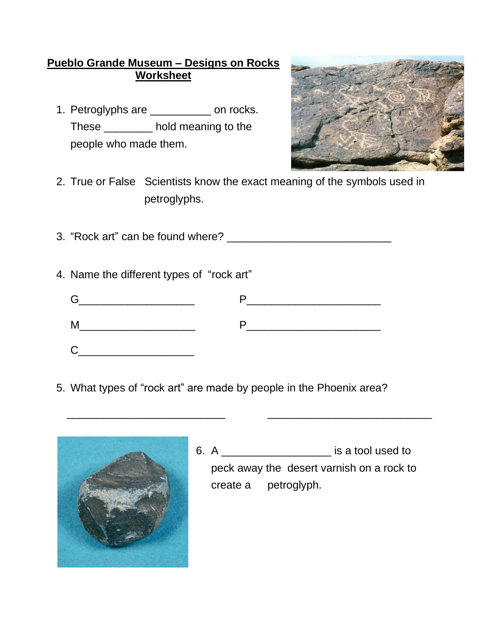## **Pueblo Grande Museum – Designs on Rocks Worksheet**

1. Petroglyphs are \_\_\_\_\_\_\_\_\_\_ on rocks. These \_\_\_\_\_\_\_\_ hold meaning to the people who made them.



2. True or False Scientists know the exact meaning of the symbols used in petroglyphs.

3. "Rock art" can be found where?

4. Name the different types of "rock art"

5. What types of "rock art" are made by people in the Phoenix area?

\_\_\_\_\_\_\_\_\_\_\_\_\_\_\_\_\_\_\_\_\_\_\_\_\_\_ \_\_\_\_\_\_\_\_\_\_\_\_\_\_\_\_\_\_\_\_\_\_\_\_\_\_\_



6. A \_\_\_\_\_\_\_\_\_\_\_\_\_\_\_\_\_\_ is a tool used to peck away the desert varnish on a rock to create a petroglyph.